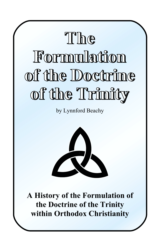# **The The Formulation Formulation of the Doctrine of the of the Doctrine of the of the Trinity of the of the Trinity of the**

by Lynnford Beachy



**A History of the Formulation of the Doctrine of the Trinity within Orthodox Christianity**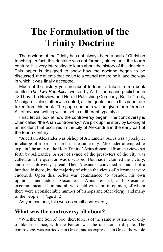# **The Formulation of the Trinity Doctrine**

The doctrine of the Trinity has not always been a part of Christian teaching. In fact, this doctrine was not formally stated until the fourth century. It is very interesting to learn about the history of this doctrine. This paper is designed to show how the doctrine began to be discussed, the events that led up to a council regarding it, and the way in which it was finally accepted.

Much of the history you are about to learn is taken from a book entitled *The Two Republics*, written by A. T. Jones and published in 1891 by The Review and Herald Publishing Company, Battle Creek, Michigan. Unless otherwise noted, all the quotations in this paper are taken from this book. The page numbers will be given for reference. All of my own writing will be set in a different type style.

First, let us look at how the controversy began. The controversy is often called "the Arian controversy." We pick up the story by looking at an incident that occurred in the city of Alexandria in the early part of the fourth century.

"A certain Alexander was bishop of Alexandria. Arius was a presbyter in charge of a parish church in the same city. Alexander attempted to explain 'the unity of the Holy Trinity.' Arius dissented from the views set forth by Alexander. A sort of synod of the presbyters of the city was called, and the question was discussed. Both sides claimed the victory, and the controversy spread. Then Alexander convened a council of a hundred bishops, by the majority of which the views of Alexander were endorsed. Upon this, Arius was commanded to abandon his own opinions, and adopt Alexander's. Arius refused, and Alexander excommunicated him and all who held with him in opinion, of whom there were a considerable number of bishops and other clergy, and many of the people." (Page 332)

As you can see, this was no small controversy.

# **What was the controversy all about?**

"Whether the Son of God, therefore, is of the same substance, or only of like substance, with the Father, was the question in dispute. The controversy was carried on in Greek, and as expressed in Greek the whole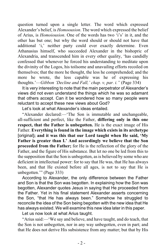question turned upon a single letter. The word which expressed Alexander's belief, is *Homoousion*. The word which expressed the belief of Arius, is *Homoiousion*. One of the words has two 'i's' in it, and the other has but one; but why the word should or should not have that additional 'i,' neither party could ever exactly determine. Even Athanasius himself, who succeeded Alexander in the bishopric of Alexandria, and transcended him in every other quality, 'has candidly confessed that whenever he forced his understanding to meditate upon the divinity of the Logos, his toilsome and unavailing efforts recoiled on themselves; that the more he thought, the less he comprehended; and the more he wrote, the less capable was he of expressing his thoughts.'—*Gibbon 'Decline and Fall,' chap. v, par. i."* (Page 334)

It is very interesting to note that the main perpetrator of Alexander's views did not even understand the things which he was so adamant that others accept. Can it be wondered how so many people were reluctant to accept these new views about God?

Let's look at what Alexander's ideas entailed.

"Alexander declared:—'The Son is immutable and unchangeable, all-sufficient and perfect, like the Father, **differing only in this one respect, that the Father is unbegotten.** He is the exact image of His Father. **Everything is found in the image which exists in its archetype** [original]**; and it was this that our Lord taught when He said, 'My Father is greater than I.' And accordingly we believe that the Son proceeded from the Father;** for He is the reflection of the glory of the Father, and the figure of His substance. But let no one be led from this to the supposition that the Son is unbegotten, as is believed by some who are deficient in intellectual power: for to say that He was, that He has always been, and that He existed before all ages, is not to say that He is unbegotten.'" (Page 333)

According to Alexander, the only difference between the Father and Son is that the Son was begotten. In explaining how the Son was begotten, Alexander quotes Jesus in saying that He proceeded from the Father. Yet in his final statement Alexander asserts concerning the Son, "that He has always been." Somehow he struggled to reconcile the idea of the Son being begotten with the new idea that He has always existed. We will examine this new idea later in this paper.

Let us now look at what Arius taught.

"Arius said:—'We say and believe, and have taught, and do teach, that the Son is not unbegotten, nor in any way unbegotten, even in part; and that He does not derive His subsistence from any matter; but that by His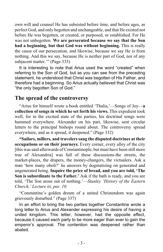own will and counsel He has subsisted before time, and before ages, as perfect God, and only begotten and unchangeable, and that He existed not before He was begotten, or created, or purposed, or established. For He was not unbegotten. **We are persecuted because we say that the Son had a beginning, but that God was without beginning.** This is really the cause of our persecution, and likewise, because we say He is from nothing. And this we say, because He is neither part of God, nor of any subjacent matter.'" (Page 333)

It is interesting to note that Arius used the word "created" when referring to the Son of God, but as you can see from the preceding statement, he understood that Christ was begotten of His Father, and therefore had a beginning. So Arius actually believed that Christ was "the only begotten Son of God."

# **The spread of the controversy**

"Arius for himself wrote a book entitled 'Thalia,'—Songs of Joy—**a collection of songs in which he set forth his views.** This expedient took well, for in the excited state of the parties, his doctrinal songs were hummed everywhere. Alexander on his part, likewise, sent circular letters to the principal bishops round about. The controversy spread everywhere, and as it spread, it deepened." (Page 332)

**"Sailors, millers, and travelers sang the disputed doctrines at their occupations or on their journeys.** Every corner, every alley of the city [this was said afterwards of Constantinople, but must have been still more true of Alexandria] was full of these discussions-the streets, the market-places, the drapers, the money-changers, the victualers. Ask a man 'how many oboli?' he answers by dogmatizing on generated and ungenerated being. **Inquire the price of bread, and you are told, 'The Son is subordinate to the Father.'** Ask if the bath is ready, and you are told, 'The Son arose out of nothing.'—*Stanley 'History of the Eastern Church,' Lecture iii, par. 10.*

"Constantine's golden dream of a united Christendom was again grievously disturbed." (Page 337)

In an effort to bring the two parties together Constantine wrote a long letter to Arius and Alexander expressing his desire of having a united kingdom. This letter, however, had the opposite effect, because it caused each party to be more eager than ever to gain the emperor's approval. The contention was deepened rather than abated.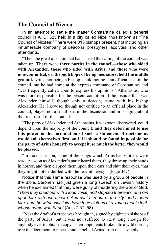# **The Council of Nicaea**

In an attempt to settle the matter Constantine called a general council in A. D. 325 held in a city called Nice, thus known as "The Council of Nicaea." There were 318 bishops present, not including an innumerable company of deacons, presbyters, acolytes, and other attendants.

"Then the great question that had caused the calling of the council was taken up. **There were three parties in the council—those who sided with Alexander, those who sided with Arius, and those who were non-committal, or, through hope of being mediators, held the middle ground.** Arius, not being a bishop, could not hold an official seat in the council, but he had come at the express command of Constantine, and 'was frequently called upon to express his opinions.' Athanasius, who was more responsible for the present condition of the dispute than was Alexander himself, though only a deacon, came with his bishop Alexander. He, likewise, though not entitled to an official place in the council, played not a small part in the discussion and in bringing about the final result of the council.

"The party of Alexander and Athanasius, it was soon discovered, could depend upon the majority of the council; **and they determined to use this power in the formulation of such a statement of doctrine as would suit themselves first, and if it should be found impossible for the party of Arius honestly to accept it, so much the better they would be pleased.**

"In the discussion, some of the songs which Arius had written, were read. As soon as Alexander's party heard them, they threw up their hands in horror, and then clapped them upon their ears and shut their eyes, that they might not be defiled with the fearful heresy." (Page 347)

Notice that this same response was used by a group of people in the Bible. Stephen had just given a long speech on Jewish history when he exclaimed that they were guilty of murdering the Son of God. *"Then they cried out with a loud voice, and stopped their ears, and ran upon him with one accord, And cast him out of the city, and stoned him: and the witnesses laid down their clothes at a young man's feet, whose name was Saul."* (Acts 7:57, 58)

"Next the draft of a creed was brought in, signed by eighteen bishops of the party of Arius; but it was not suffered to exist long enough for anybody ever to obtain a copy. Their opponents broke into a wild uproar, tore the document to pieces, and expelled Arius from the assembly.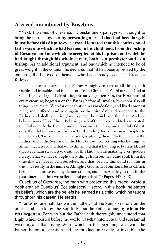# **A creed introduced by Eusebius**

"Next, Eusebius of Cæsarea,—Constantine's panegyrist—thought to bring the parties together **by presenting a creed that had been largely in use before this dispute ever arose. He stated that this confession of faith was one which he had learned in his childhood, from the bishop of Cæsarea, and one which he accepted at his baptism, and which he had taught through his whole career, both as a presbyter and as a bishop.** As an additional argument, and one which he intended to be of great weight in the council, he declared that 'it had been approved by the emperor, the beloved of heaven, who had already seen it.' It read as follows:—

"'I believe in one God, the Father Almighty, maker of all things both visible and invisible, and in one Lord Jesus Christ, the Word of God, God of God, Light of Light, Life of Life, **the only begotten Son, the First-born of every creature, begotten of the Father before all worlds,** by whom also all things were made. Who for our salvation was made flesh, and lived amongst men, and suffered, and rose again on the third day, and ascended to the Father, and shall come in glory to judge the quick and the dead. And we believe in one Holy Ghost. Believing each of them to be and to have existed, the Father, only the Father; and the Son, only the Son; and the Holy Ghost, only the Holy Ghost: as also our Lord sending forth His own disciples to preach, said, 'Go and teach all nations, baptizing them into the name of the Father, and of the Son, and of the Holy Ghost:' concerning which things we affirm that it is so, and that we so think, and that it has long so been held, and that we remain steadfast to death for this faith, anathematizing every godless heresy. That we have thought these things from our heart and soul, from the time that we have known ourselves, and that we now think and say thus in truth, we testify in the **name of Almighty God, and of our Lord Jesus Christ,** being able to prove even by demonstration, and to persuade **you that in the past times also thus we believed and preached.'"** (Pages 347, 348)

Eusebius of Cæsarea, the man who presented this creed, wrote a book entitled Eusebius' Ecclesiastical History. In this book, he states his beliefs, which are the beliefs he learned as a child, which he taught throughout his career. He states:

"For as no one hath known the Father, but the Son, so no one on the other hand, can know the Son fully, but the Father alone, **by whom He was begotten.** For who but the Father hath thoroughly understood that Light which existed before the world was-that intellectual and substantial wisdom, and that living Word which in the beginning was with the Father, before all creation and any production visible or invisible, **the**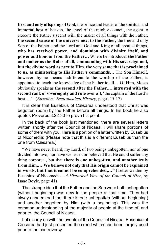**first and only offspring of God,** the prince and leader of the spiritual and immortal host of heaven, the angel of the mighty council, the agent to execute the Father's secret will, the maker of all things with the Father, **the second cause of the universe next to the Father,** the true and only Son of the Father, and the Lord and God and King of all created things, **who has received power, and dominion with divinity itself, and power and honour from the Father…** Where he introduces **the Father and maker as the Ruler of all, commanding with His sovereign nod, but the divine word as next to Him, the very same that is proclaimed to us, as ministering to His Father's commands…** The Son Himself, however, by no means indifferent to the worship of the Father, is appointed to teach the knowledge of the Father to all… Of Him, Moses obviously speaks as **the second after the Father,… intrusted with the second rank of sovereignty and rule over all,** 'the captain of the Lord's host,…'" (*Eusebius' Ecclesiastical History*, pages 15-17)

It is clear that Eusebius of Cæsarea understood that Christ was begotten (born) by the Father before all things. In his book he also quotes Proverbs 8:22-30 to prove his point.

In the back of the book just mentioned, there are several letters written shortly after the Council of Nicaea. I will share portions of some of them with you. Here is a portion of a letter written by Eusebius of Nicomedia: (Please note that this is a different Eusebius than the one from Cæsarea.)

"We have never heard, my Lord, of two beings unbegotten, nor of one divided into two; nor have we learnt or believed that He could suffer any thing corporeal, but that **there is one unbegotten, and another truly from Him,… We believe not only that His origin cannot be explained in words, but that it cannot be comprehended,…"** (Letter written by Eusebius of Nicomedia—*A Historical View of the Council of Nice*, by Isaac Boyle, page 41)

The strange idea that the Father and the Son were both unbegotten (without beginning) was new to the people at that time. They had always understood that there is one unbegotten (without beginning) and another begotten by Him (with a beginning). This was the common understanding of the majority of people at the time of, and prior to, the Council of Nicaea.

Let's carry on with the events of the Council of Nicaea. Eusebius of Cæsarea had just presented the creed which had been largely used prior to the controversy.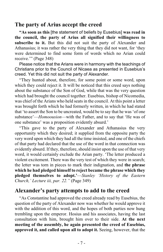#### **The party of Arius accept the creed**

**"As soon as this** [the statement of beliefs by Eusebius] **was read in the council, the party of Arius all signified their willingness to subscribe to it.** But this did not suit the party of Alexander and Athanasius; it was rather the very thing that they did not want, for 'they were determined to find some form of words which no Arian could receive.'" (Page 348)

Please notice that the Arians were in harmony with the teachings of Christians prior to the Council of Nicaea as presented in Eusebius's creed. Yet this did not suit the party of Alexander.

"They hunted about, therefore, for some point or some word, upon which they could reject it. It will be noticed that this creed says nothing about the substance of the Son of God, while that was the very question which had brought the council together. Eusebius, bishop of Nicomedia, was chief of the Arians who held seats in the council. At this point a letter was brought forth which he had formerly written, in which he had stated that 'to assert the Son to be uncreated, would be to say that he was 'of one substance'—*Homoousion*—with the Father, and to say that 'He was of one substance' was a proposition evidently absurd.'

"This gave to the party of Alexander and Athanasius the very opportunity which they desired; it supplied from the opposite party the very word upon which they had all the time insisted, and one of the chiefs of that party had declared that the use of the word in that connection was evidently absurd. If they, therefore, should insist upon the use of that very word, it would certainly exclude the Arian party. 'The letter produced a violent excitement. There was the very test of which they were in search; the letter was torn in pieces to mark their indignation, and **the phrase which he had pledged himself to reject became the phrase which they pledged themselves to adopt.'**—*Stanley 'History of the Eastern Church,' Lecture iii, par. 22."* (Page 349)

# **Alexander's party attempts to add to the creed**

"As Constantine had approved the creed already read by Eusebius, the question of the party of Alexander now was whether he would approve it with the addition of this word, and the hopes of both parties now hung trembling upon the emperor. Hosius and his associates, having the last consultation with him, brought him over to their side. **At the next meeting of the assembly, he again presented the creed of Eusebius, approved it, and called upon all to adopt it.** Seeing, however, that the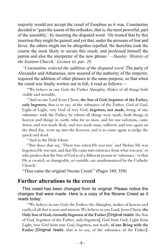majority would not accept the creed of Eusebius as it was, Constantine decided to 'gain the assent of the orthodox, that is, the most powerful, part of the assembly,' by inserting the disputed word. 'He trusted that by this insertion they might be gained, and yet that, under the pressure of fear and favor, the others might not be altogether repelled. He therefore took the course the most likely to secure this result, and professed himself the patron and also the interpreter of the new phrase.'—*Stanley 'History of the Eastern Church,' Lecture iii, par. 28.*

*"Constantine ordered the addition of the disputed word.* The party of Alexander and Athanasius, now assured of the authority of the emperor, required the addition of other phrases to the same purpose, so that when the creed was finally written out in full, it read as follows:—

"'We believe in one God, the Father Almighty, Maker of all things both visible and invisible.

"'And in one Lord Jesus Christ, **the Son of God, begotten of the Father, only begotten,** that is to say, of the substance of the Father, God of God, Light of Light, very God of very God, **begotten, not made,** being of one substance with the Father, by whom all things were made, both things in heaven and things in earth; who for us men, and for our salvation, came down, and was made flesh, and was made man, suffered, and rose again on the third day, went up into the heavens, and is to come again to judge the quick and dead.

"And in the Holy Ghost.

"'But those that say, 'There was when He was not,' and 'Before He was begotten He was not, and that He came into existence from what was not,' or who profess that the Son of God is of a different person or 'substance.' or that He is created, or changeable, or variable, are anathematized by the Catholic Church.'

"Thus came the original Nicene Creed." (Pages 349, 350)

#### **Further alterations to the creed**

This creed has been changed from its original. Please notice the changes that were made. Here is a copy of the Nicene Creed as it reads today:

"'We believe in one God, the Father, the Almighty, maker of heaven and earth, of all that is seen and unseen. We believe in one Lord, Jesus Christ, **the Only Son of God, eternally begotten of the Father** [Original reads: the Son of God, begotten of the Father, only begotten], God from God, Light from Light, true God from true God, begotten, not made, **of one Being with the Father** [Original reads: that is to say, of the substance of the Father].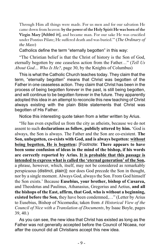Through Him all things were made. For us men and for our salvation He came down from heaven: **by the power of the Holy Spirit He was born of the Virgin Mary** [Added in], and became man. For our sake He was crucified under Pontius Pilate; He suffered death and was buried.'" (*The Ordinary of the Mass*)

Catholics define the term "eternally begotten" in this way:

"The Christian belief is that the Christ of history is the Son of God, eternally begotten by one ceaseless action from the Father…" (*Tell Us About God… Who Is He?*, page 30, by the Knights of Columbus)

This is what the Catholic Church teaches today. They claim that the term, "eternally begotten" means that Christ was begotten of the Father in one ceaseless action. They claim that Christ has been in the process of being begotten forever in the past, is still being begotten, and will continue to be begotten forever in the future. They apparently adopted this idea in an attempt to reconcile this new teaching of Christ always existing with the plain Bible statements that Christ was begotten of His Father.

Notice this interesting quote taken from a letter written by Arius.

"He has even expelled us from the city as atheists, because we do not assent to such **declarations as follow, publicly uttered by him.** 'God is always, the Son is always. The Father and the Son are co-existent. **The Son, unbegotten, co-exists with God, and is always begotten: without being begotten, He is begotten:** [Footnote: **There appears to have been some confusion of ideas in the mind of the bishop, if his words are correctly reported by Arius. It is probable that this passage is intended to express what is called the 'eternal generation' of the Son,** a phrase, however, which, itself, may not be considered as remarkably perspicuous (distinct, plain)]: nor does God precede the Son in thought, nor by a single moment. Always God, always the Son. From God himself the Son exists.' Because **Eusebius, your brother, bishop of Cæsarea,** and Theodotus and Paulinus, Athanasius, Gregorius and Aetius, **and all the bishops of the East, affirm, that God, who is without a beginning, existed before the Son,** they have been condemned,…" (Letter by Arius to Eusebius, Bishop of Nicomedia; taken from *A Historical View of the Council of Nice with a Translation of Documents*, by Isaac Boyle, pages 39, 40.)

As you can see, the new idea that Christ has existed as long as the Father was not generally accepted before the Council of Nicaea, nor after the council did all Christians accept this new idea.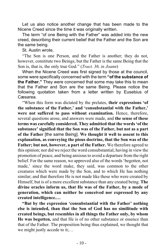Let us also notice another change that has been made to the Nicene Creed since the time it was originally written.

The term "of one Being with the Father" was added into the new creed, describing their current belief that the Father and the Son are the same being.

St. Austin wrote,

"The Son is one Person, and the Father is another; they do not, however, constitute two Beings, but the Father is the same Being that the Son is, that is, the only true God." (*Tract. 36, in Joann*)

When the Nicene Creed was first signed by those at the council, some were specifically concerned with the term **"of the substance of the Father."** They were concerned that some may take this to mean that the Father and Son are the same Being. Please notice the following quotation taken from a letter written by Eusebius of Cæsarea.

"When this form was dictated by the prelates, **their expressions 'of the substance of the Father,' and 'consubstantial with the Father,' were not suffered to pass without examination.** Hence, therefore, several questions arose, and answers were made, and **the sense of these terms was carefully considered. They admitted that the words 'of the substance' signified that the Son was of the Father, but not as a part of the Father** [the same Being]. **We thought it well to assent to this explanation, as conveying the pious doctrine, that the Son was of the Father; but not, however, a part of the Father.** We therefore agreed to this opinion; nor did we reject the word consubstantial, having in view the promotion of peace, and being anxious to avoid a departure from the right belief. For the same reason, we approved also of the words 'begotten, not made,' since the word make, they said, was common to the other creatures which were made by the Son, and to which He has nothing similar; and that therefore He is not made like those who were created by Himself, but is of a more excellent substance than any created being. **The divine oracles inform us, that He was of the Father, by a mode of generation, which can neither be conceived nor expressed by any created intelligence.…**

**"But by the expression 'consubstantial with the Father' nothing else is intended, than that the Son of God has no similitude with created beings, but resembles in all things the Father only, by whom He was begotten,** and that He is of no other substance or essence than that of the Father. The proposition being thus explained, we thought that we might justly accede to it;...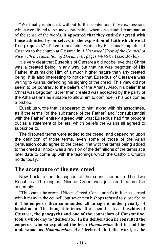"We finally embraced, without further contention, those expressions which were found to be unexceptionable, when, on a candid examination of the sense of the words, **it appeared that they entirely agreed with those admitted by ourselves, in the exposition of faith which we at first proposed."** (Taken from a letter written by Eusebius Pamphilus of Cæsarea to the church at Cæsarea in *A Historical View of the Council of Nice with a Translation of Documents*, pages 44-46 by Isaac Boyle.)

It is very clear that Eusebius of Cæsarea did not believe that Christ was a created being in any way but that he was begotten of His Father, thus making Him of a much higher nature than any created being. It is also interesting to notice that Eusebius of Cæsarea was writing to Arians, defending his signing of the creed. This view did not seem to be contrary to the beliefs of the Arians. Also, his belief that Christ was begotten rather than created was accepted by the party of the Athanasians as suitable to allow him to continue in his position as a bishop.

Eusebius wrote that it appeared to him, along with his associates, as if the terms "of the substance of the Father" and "consubstantial with the Father" entirely agreed with what Eusebius had first brought out as a statement of beliefs, which beliefs the Arians all agreed to subscribe to.

The disputed terms were added to the creed, and depending upon the definition of those terms, even some of those of the Arian persuasion could agree to the creed. Yet with the terms being added to the creed all it took was a revision of the definitions of the terms at a later date to come up with the teachings which the Catholic Church holds today.

#### **The acceptance of the new creed**

Now back to the description of the council found in The Two Republics. The original Nicene Creed was just read before the assembly.

"Thus came the original Nicene Creed. Constantine's influence carried with it many in the council, but seventeen bishops refused to subscribe to it. **The emperor then commanded all to sign it under penalty of banishment.** This brought to terms all of them but five. **Eusebius of Cæsarea, the panegyrist and one of the counselors of Constantine, took a whole day to 'deliberate.' In his deliberation he consulted the emperor, who so explained the term** *Homoousion* **that it could be understood as** *Homoiousion***. He 'declared that the word, as he**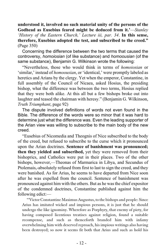**understood it, involved no such material unity of the persons of the Godhead as Eusebius feared might be deduced from it.'**—*Stanley 'History of the Eastern Church,' Lecture iii, par. 34*. **In this sense, therefore, Eusebius adopted the test, and subscribed to the creed."** (Page 350)

Concerning the difference between the two terms that caused the controversy, *homoiosian* (of like substance) and *homoousian* (of the same substance), Benjamin G. Wilkinson wrote the following:

"Nevertheless, those who would think in terms of *homoiosian* or 'similar,' instead of *homoousian*, or 'identical,' were promptly labeled as heretics and Arians by the clergy. Yet when the emperor, Constantine, in full assembly of the Council of Nicaea, asked Hosius, the presiding bishop, what the difference was between the two terms, Hosius replied that they were both alike. At this all but a few bishops broke out into laughter and teased the chairman with heresy." (Benjamin G. Wilkinson, *Truth Triumphant*, page 92)

The dispute involved definitions of words not even found in the Bible. The difference of the words were so minor that it was hard to determine just what the difference was. Even the leading supporter of the Arian view was willing to subscribe to the main body of the new creed.

"Eusebius of Nicomedia and Theognis of Nice subscribed to the body of the creed, but refused to subscribe to the curse which it pronounced upon the Arian doctrines. **Sentence of banishment was pronounced; then they yielded and subscribed,** yet they were removed from their bishoprics, and Catholics were put in their places. Two of the other bishops, however,—Theonas of Marmarica in Libya, and Secundus of Ptolemais,-absolutely refused from first to last to sign the creed, and they were banished. As for Arius, he seems to have departed from Nice soon after he was expelled from the council. Sentence of banishment was pronounced against him with the others. But as he was the chief expositor of the condemned doctrines, Constantine published against him the following edict:—

"'Victor Constantine Maximus Augustus, to the bishops and people: Since Arius has imitated wicked and impious persons, it is just that he should undergo the like ignominy. Wherefore as Porphyry, that enemy of piety, for having composed licentious treatises against religion, found a suitable recompense, and such as thenceforth branded him with infamy overwhelming him with deserved reproach, his impious writings also having been destroyed; so now it seems fit both that Arius and such as hold his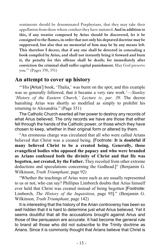sentiments should be denominated Porphyrians, that they may take their appellation from those whose conduct they have imitated. **And in addition to this, if any treatise composed by Arius should be discovered, let it be consigned to the flames, in order that not only his depraved doctrine may be suppressed, but also that no memorial of him may be by any means left. This therefore I decree, that if any one shall be detected in concealing a book compiled by Arius, and shall not instantly bring it forward and burn it, the penalty for this offense shall be death; for immediately after conviction the criminal shall suffer capital punishment.** May God preserve you.'" (Pages 350, 351)

# **An attempt to cover up history**

"'His [Arius'] book, 'Thalia,' was burnt on the spot; and this example was so generally followed, that it became a very rare work.'—*Stanley 'History of the Eastern Church,' Lecture iv, par. 39*. The decree banishing Arius was shortly so modified as simply to prohibit his returning to Alexandria." (Page 351)

The Catholic Church exerted all her power to destroy any records of what Arius believed. The only records we have are those that either fell through the hands of the Catholic power, or those which they have chosen to keep, whether in their original form or altered by them.

"An erroneous charge was circulated that all who were called Arians believed that Christ was a created being. [Footnote: **It is doubtful if many believed Christ to be a created being. Generally, those evangelical bodies who opposed the papacy and who were branded as Arians confessed both the divinity of Christ and that He was begotten, not created, by the Father.** They recoiled from other extreme deductions and speculations concerning the Godhead.]" (Benjamin G. Wilkinson, *Truth Triumphant*, page 92)

"Whether the teachings of Arius were such as are usually represented to us or not, who can say? Phillipus Limborch doubts that Arius himself ever held that Christ was created instead of being begotten [Footnote: Limborch, *The History of the Inquisition*, page 95]." (Benjamin G. Wilkinson, *Truth Triumphant*, page 142)

It is interesting that the history of the Arian controversy has been so well hidden that it is hard to determine just what Arius believed. Yet it seems doubtful that all the accusations brought against Arius and those of like persuasion are accurate. It had become the general rule to brand all those who did not subscribe to the Trinity doctrine as Arians. Since it is commonly thought that Arians believe that Christ is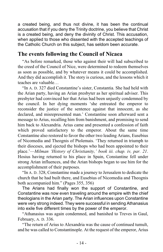a created being, and thus not divine, it has been the continual accusation that if you deny the Trinity doctrine, you believe that Christ is a created being, and deny the divinity of Christ. This accusation, when applied to those who dissented with the accepted teachings of the Catholic Church on this subject, has seldom been accurate.

# **The events following the Council of Nicaea**

"As before remarked, those who against their will had subscribed to the creed of the Council of Nice, were determined to redeem themselves as soon as possible, and by whatever means it could be accomplished. And they did accomplish it. The story is curious, and the lessons which it teaches are valuable…

"In A. D. 327 died Constantine's sister, Constantia. She had held with the Arian party, having an Arian presbyter as her spiritual adviser. This presbyter had convinced her that Arius had been unjustly condemned by the council. In her dying moments 'she entreated the emperor to reconsider the justice of the sentence against that innocent, as she declared, and misrepresented man.' Constantine soon afterward sent a message to Arius, recalling him from banishment, and promising to send him back to Alexandria. Arius came and presented a confession of faith which proved satisfactory to the emperor. About the same time Constantine also restored to favor the other two leading Arians, Eusebius of Nicomedia and Theognis of Ptolemais. 'They returned in triumph to their dioceses, and ejected the bishops who had been appointed to their place.'—*Milman 'History of Christianity,' book iii. chap. iv, par. 21*. Hosius having returned to his place in Spain, Constantine fell under strong Arian influences, and the Arian bishops began to use him for the accomplishment of their purposes.

"In A. D. 328, Constantine made a journey to Jerusalem to dedicate the church that he had built there, and Eusebius of Nicomedia and Theognis both accompanied him." (Pages 355, 356)

The Arians had finally won the support of Constantine, and Constantine was now even traveling around the empire with the chief theologians in the Arian party. The Arian influences upon Constantine were very strong indeed. They were successful in sending Athanasius into exile five different times by the power of the emperor.

"Athanasius was again condemned, and banished to Treves in Gaul, February, A. D. 336.

"The return of Arius to Alexandria was the cause of continued tumult, and he was called to Constantinople. At the request of the emperor, Arius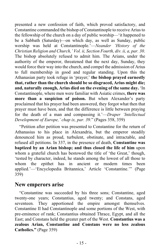presented a new confession of faith, which proved satisfactory, and Constantine commanded the bishop of Constantinople to receive Arius to the fellowship of the church on a day of public worship—'it happened to be a Sabbath (Saturday)—on which day, as well as Sunday, public worship was held at Constantinople.'—*Neander 'History of the Christian Religion and Church,' Vol. ii, Section Fourth, div. ii, a, par. 30*. The bishop absolutely refused to admit him. The Arians, under the authority of the emperor, threatened that the next day, Sunday, they would force their way into the church, and compel the admission of Arius to full membership in good and regular standing. Upon this the Athanasian party took refuge in 'prayer;' **the bishop prayed earnestly that, rather than the church should be so disgraced, Arius might die; and, naturally enough, Arius died on the evening of the same day.** 'In Constantinople, where men were familiar with Asiatic crimes, **there was more than a suspicion of poison.** But when Alexander's party proclaimed that his prayer had been answered, they forgot what then that prayer must have been, and that the difference is little between praying for the death of a man and compassing it.'—*Draper 'Intellectual Development of Europe,' chap ix, par. 39*." (Pages 358, 359)

"Petition after petition was presented to Constantine for the return of Athanasius to his place in Alexandria, but the emperor steadily denounced him as proud, turbulent, obstinate, and intractable, and refused all petitions. In 337, in the presence of death, **Constantine was baptized by an Arian bishop; and thus closed the life of him** upon whom a grateful church has bestowed the title of 'the Great,' though, 'tested by character, indeed, he stands among the lowest of all those to whom the epithet has in ancient or modern times been applied.'—'Encyclopedia Britannica,' Article 'Constantine.'" (Page 359)

# **New emperors arise**

"Constantine was succeeded by his three sons; Constantine, aged twenty-one years; Constantius, aged twenty; and Constans, aged seventeen. They apportioned the empire amongst themselves. Constantine II had Constantinople and some portions of the West, with pre-eminence of rank; Constantius obtained Thrace, Egypt, and all the East; and Constans held the greater part of the West. **Constantius was a zealous Arian, Constantine and Constans were no less zealous Catholics."** (Page 359)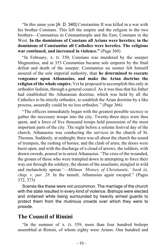"In this same year [A. D. 340] Constantine II was killed in a war with his brother Constans. This left the empire and the religion to the two brothers—Constantius in Constantinople and the East, Constans in the West. **In the dominions of Constans all Arians were heretics; in the dominions of Constantius all Catholics were heretics. The religious war continued, and increased in violence."** (Page 360)

"In February, A. D. 350, Constans was murdered by the usurper Magnentius, and in 353 Constantius became sole emperor by the final defeat and death of the usurper. Constantius no sooner felt himself assured of the sole imperial authority, than **he determined to execute vengeance upon Athanasius, and make the Arian doctrine the religion of the whole empire.** Yet he proposed to accomplish this only in orthodox fashion, through a general council. As it was thus that his father had established the Athanasian doctrine, which was held by all the Catholics to be strictly orthodox, to establish the Arian doctrine by a like process, assuredly could be no less orthodox." (Page 366)

"The officers immediately began with the greatest possible secrecy to gather the necessary troops into the city. Twenty-three days were thus spent, and a force of five thousand troops held possession of the most important parts of the city. The night before a solemn festival day of the church, Athanasius was conducting the services in the church of St. Theonas. Suddenly, at midnight, there was all about the church the sound of trumpets, the rushing of horses, and the clash of arms; the doors were burst open, and with the discharge of a cloud of arrows, the soldiers, with drawn swords, poured in to arrest Athanasius. 'The cries of the wounded, the groans of those who were trampled down in attempting to force their way out through the soldiery, the shouts of the assailants, mingled in wild and melancholy uproar.'—*Milman 'History of Christianity,' book iii, chap. v, par. 28*. In the tumult, Athanasius again escaped." (Pages 372, 373)

Scenes like these were not uncommon. The marriage of the church with the state resulted in every kind of violence. Bishops were elected and ordained while being surrounded by heavily armed guards to protect them from the mutinous crowds over which they were to preside.

# **The Council of Rimini**

"In the summer of A. D. 359, more than four hundred bishops assembled at Rimini, of whom eighty were Arians. One hundred and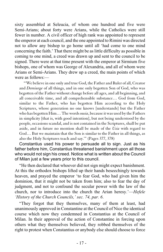sixty assembled at Seleucia, of whom one hundred and five were Semi-Arians; about forty were Arians, while the Catholics were still fewer in number. A civil officer of high rank was appointed to represent the emperor at each council, and the one appointed to Rimini was directed not to allow any bishop to go home until all 'had come to one mind concerning the faith.' That there might be as little difficulty as possible in coming to one mind, a creed was drawn up and sent to the council to be signed. There were at that time present with the emperor at Sirmium five bishops, one of whom was George of Alexandria, and all of whom were Arians or Semi-Arians. They drew up a creed, the main points of which were as follows:—

"'We believe in one only and true God, the Father and Ruler of all, Creator and *Demiurge* of all things, and in one only begotten Son of God, who was begotten of the Father without change before all ages, and all beginning, and all conceivable time, and all comprehensible substance… God from God, similar to the Father, who has begotten Him according to the Holy Scriptures, whose generation no one knows [understands] but the Father who has begotten Him… The words *ousia*, because it was used by the Fathers in simplicity [that is, with good intention], but not being understood by the people, occasions scandal, and is not contained in the Scriptures, shall be put aside, and in future no mention shall be made of the *Usia* with regard to God… But we maintain that the Son is similar to the Father in all things, as also the Holy Scriptures teach and say.'" (Pages 377, 378)

Constantius used his power to persuade all to sign. Just as his father before him, Constantius threatened banishment upon all those who would not sign his creed. Notice what is written about the Council of Milan just a few years prior to this council.

"He then declared that whoever did not sign might expect banishment. At this the orthodox bishops lifted up their hands beseechingly towards heaven, and prayed the emperor 'to fear God, who had given him the dominion, that it might not be taken from him; also to fear the day of judgment, and not to confound the secular power with the law of the church, nor to introduce into the church the Arian heresy.'—*Hefele 'History of the Church Councils,' sec. 74, par. 6*.

"They forgot that they themselves, many of them at least, had unanimously approved in Constantine at the Council of Nice the identical course which now they condemned in Constantius at the Council of Milan. In their approval of the action of Constantine in forcing upon others what they themselves believed, they robbed themselves of the right to protest when Constantius or anybody else should choose to force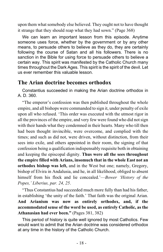upon them what somebody else believed. They ought not to have thought it strange that they should reap what they had sown." (Page 368)

We can learn an important lesson from this episode. Anytime someone uses force, whether by the government or by any other means, to persuade others to believe as they do, they are certainly following the course of Satan and all his followers. There is no sanction in the Bible for using force to persuade others to believe a certain way. This spirit was manifested by the Catholic Church many times throughout the Dark Ages. This spirit is the spirit of the devil. Let us ever remember this valuable lesson.

# **The Arian doctrine becomes orthodox**

Constantius succeeded in making the Arian doctrine orthodox in A. D. 360.

"The emperor's confession was then published throughout the whole empire, and all bishops were commanded to sign it, under penalty of exile upon all who refused. 'This order was executed with the utmost rigor in all the provinces of the empire, and very few were found who did not sign with their hands what they condemned in their hearts. Many who till then had been thought invincible, were overcome, and complied with the times; and such as did not, were driven, without distinction, from their sees into exile, and others appointed in their room, the signing of that confession being a qualification indispensably requisite both in obtaining and keeping the episcopal dignity. **Thus were all the sees throughout the empire filled with Arians, insomuch that in the whole East not an orthodox bishop was left,** and in the West but one; namely, Gregory, bishop of Elvira in Andalusia, and he, in all likelihood, obliged to absent himself from his flock and lie concealed.'—*Bower 'History of the Popes,' Liberius, par. 24, 25*.

"Thus Constantius had succeeded much more fully than had his father, in establishing 'the unity of the faith.' That faith was the original Arian. **And Arianism was now as entirely orthodox, and, if the accommodated sense of the word be used, as entirely Catholic, as the Athanasian had ever been."** (Pages 381, 382)

This period of history is quite well ignored by most Catholics. Few would want to admit that the Arian doctrine was considered orthodox at any time in the history of the Catholic Church.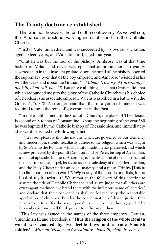# **The Trinity doctrine re-established**

This was not, however, the end of the controversy. As we will see, the Athanasian doctrine was again established in the Catholic Church.

"In 375 Valentinian died, and was succeeded by his two sons, Gratian, aged sixteen years, and Valentinian II, aged four years.

"Gratian was but the tool of the bishops. Ambrose was at that time bishop of Milan, and never was episcopal ambition more arrogantly asserted than in that insolent prelate. Soon the mind of the bishop asserted the supremacy over that of the boy emperor, and Ambrose 'wielded at his will the weak and irresolute Gratian.'—*Milman 'History of Christianity,' book iii, chap. viii, par. 28*. But above all things else that Gratian did, that which redounded most to the glory of the Catholic Church was his choice of Theodosius as associate emperor. Valens was killed in a battle with the Goths, A. D. 378. A stronger hand than that of a youth of nineteen was required to hold the reins of government in the East.

"In the establishment of the Catholic Church, the place of Theodosius is second only to that of Constantine. About the beginning of the year 380 he was baptized by the Catholic bishop of Thessalonica, and immediately afterward he issued the following edict:—

"'It is our pleasure that the nations which are governed by our clemency and moderation, should steadfastly adhere to the religion which was taught by St. Peter to the Romans, which faithful tradition has preserved, and which is now professed by the pontiff Damasus, and by Peter, bishop of Alexandria, a man of apostolic holiness. According to the discipline of the apostles, and the doctrine of the gospel, let us believe the sole deity of the Father, the Son, and the Holy Ghost: under an equal majesty, **and a pious Trinity.** [This is the first mention of the word *Trinity* in any of the creeds or edicts, to the best of my knowledge.] We authorize the followers of this doctrine to assume the title of Catholic Christians; and as we judge that all others are extravagant madmen, we brand them with the infamous name of 'heretics,' and declare that their conventicles shall no longer usurp the respectable appellation of churches. Besides the condemnation of divine justice, they must expect to suffer the severe penalties which our authority, guided by heavenly wisdom, shall think proper to inflict upon them.'

"This law was issued in the names of the three emperors, Gratian, Valentinian II, and Theodosius. **'Thus the religion of the whole Roman world was enacted by two feeble boys and a rude Spanish soldier.'**—*Milman 'History of Christianity,' book iii, chap. ix, par. 1*.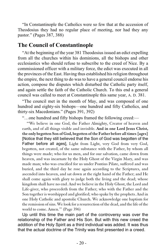"In Constantinople the Catholics were so few that at the accession of Theodosius they had no regular place of meeting, nor had they any pastor." (Pages 387, 388)

#### **The Council of Constantinople**

"At the beginning of the year 381 Theodosius issued an edict expelling from all the churches within his dominions, all the bishops and other ecclesiastics who should refuse to subscribe to the creed of Nice. By a commissioned officer with a military force, the edict was executed in all the provinces of the East. Having thus established his religion throughout the empire, the next thing to do was to have a general council endorse his action, compose the disputes which disturbed the Catholic party itself, and again settle the faith of the Catholic Church. To this end a general council was called to meet at Constantinople this same year, A. D. 381.

"The council met in the month of May, and was composed of one hundred and eighty-six bishops—one hundred and fifty Catholics, and thirty-six Macedonians." (Pages 391, 392)

"…one hundred and fifty bishops framed the following creed:—

"'We believe in one God, the Father Almighty, Creator of heaven and earth, and of all things visible and invisible. **And in one Lord Jesus Christ, the only begotten Son of God, begotten of the Father before all times [ages]** [Notice that they still believed that the Son of God was begotten of the Father before all ages], Light from Light, very God from very God, begotten, not created, of the same substance with the Father, by whom all things were made; who for us men, and for our salvation, came down from heaven, and was incarnate by the Holy Ghost of the Virgin Mary, and was made man; who was crucified for us under Pontius Pilate, suffered and was buried, and the third day he rose again according to the Scriptures, and ascended into heaven, and sat down at the right hand of the Father; and He shall come again with glory to judge both the living and the dead; whose kingdom shall have no end. And we believe in the Holy Ghost, the Lord and Life-giver, who proceedeth from the Father; who with the Father and the Son together is worshipped and glorified; who spake by the prophets. And in one Holy Catholic and apostolic Church. We acknowledge one baptism for the remission of sins. We look for a resurrection of the dead, and the life of the world to come. Amen.'" (Page 396)

Up until this time the main part of the controversy was over the relationship of the Father and His Son. But with this new creed the addition of the Holy Spirit as a third individual was added. It was thus that the actual doctrine of the Trinity was first presented in a creed.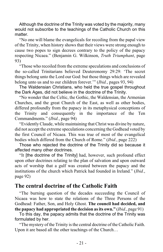Although the doctrine of the Trinity was voted by the majority, many would not subscribe to the teachings of the Catholic Church on this matter.

"No one will blame the evangelicals for recoiling from the papal view of the Trinity, when history shows that their views were strong enough to cause two popes to sign decrees contrary to the policy of the papacy respecting Nicaea." (Benjamin G. Wilkinson, *Truth Triumphant*, page 93)

"Those who recoiled from the extreme speculations and conclusions of the so-called Trinitarians believed Deuteronomy 29:29: 'The secret things belong unto the Lord our God: but those things which are revealed belong unto us and to our children forever.'" (*Ibid.*, pages 93, 94)

The Waldensian Christians, who held the true gospel throughout the Dark Ages, did not believe in the doctrine of the Trinity.

"No wonder that the Celtic, the Gothic, the Waldensian, the Armenian Churches, and the great Church of the East, as well as other bodies, differed profoundly from the papacy in its metaphysical conceptions of the Trinity and consequently in the importance of the Ten Commandments." (*Ibid.*, page 94)

"Evidently Claude, while maintaining that Christ was divine by nature, did not accept the extreme speculations concerning the Godhead voted by the first Council of Nicaea. This was true of most of the evangelical bodies which differed from the Church of Rome." (*Ibid.*, page 222)

Those who rejected the doctrine of the Trinity did so because it affected many other doctrines.

"It [the doctrine of the Trinity] had, however, such profound effect upon other doctrines relating to the plan of salvation and upon outward acts of worship that a gulf was created between the papacy and the institutions of the church which Patrick had founded in Ireland." (*Ibid.*, page 92)

# **The central doctrine of the Catholic Faith**

"The burning question of the decades succeeding the Council of Nicaea was how to state the relations of the Three Persons of the Godhead: Father, Son, and Holy Ghost. **The council had decided, and the papacy had appropriated the decision as its own."** (*Ibid.*, page 91)

To this day, the papacy admits that the doctrine of the Trinity was formulated by her.

"The mystery of the Trinity is the central doctrine of the Catholic Faith. Upon it are based all the other teachings of the Church…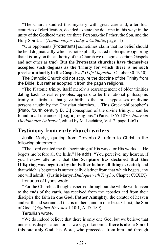"The Church studied this mystery with great care and, after four centuries of clarification, decided to state the doctrine in this way: in the unity of the Godhead there are three Persons,-the Father, the Son, and the Holy Spirit…" (*Handbook for Today's Catholic*, page 11)

"Our opponents [Protestants] sometimes claim that no belief should be held dogmatically which is not explicitly stated in Scripture (ignoring that it is only on the authority of the Church we recognize certain Gospels and not other as true). **But the Protestant churches have themselves accepted such dogmas as the Trinity for which there is no such precise authority in the Gospels…"** (*Life Magazine*, October 30, 1950)

The Catholic Church did not acquire the doctrine of the Trinity from the Bible, but rather adopted it from the pagan religions.

"The Platonic trinity, itself merely a rearrangement of older trinities dating back to earlier peoples, appears to be the rational philosophic trinity of attributes that gave birth to the three hypostases or divine persons taught by the Christian churches.… This Greek philosopher's [Plato, fourth century B. C.] conception of the divine trinity… can be found in all the ancient [pagan] religions." (Paris, 1865-1870, *Nouveau Dictionnaire Universel*, edited by M. Lachâtre, Vol. 2, page 1467)

# **Testimony from early church writers**

Justin Martyr, quoting from Proverbs 8, refers to Christ in the following statement:

"The Lord created me the beginning of His ways for His works.… He begets me before all the hills." He adds: "You perceive, my hearers, if you bestow attention, that **the Scripture has declared that this Offspring was begotten by the Father before all things created;** and that which is begotten is numerically distinct from that which begets, any one will admit." (Justin Martyr, *Dialogue with Trypho*, Chapter CXXIX)

Irenaeus of Lyons wrote,

"For the Church, although dispersed throughout the whole world even to the ends of the earth, has received from the apostles and from their disciples the faith **in one God, Father Almighty,** the creator of heaven and earth and sea and all that is in them; and in one Jesus Christ, the Son of God." (*Against Heresies* 1:10:1, A. D. 189)

Tertullian wrote,

"We do indeed believe that there is only one God, but we believe that under this dispensation, or, as we say, oikonomia, **there is also a Son of this one only God,** his Word, who proceeded from him and through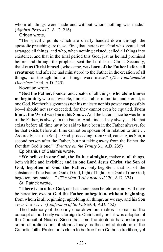whom all things were made and without whom nothing was made." (*Against Praxeas* 2, A. D. 216)

Origen wrote,

"The specific points which are clearly handed down through the apostolic preaching are these: First, that there is one God who created and arranged all things, and who, when nothing existed, called all things into existence, and that in the final period this God, just as he had promised beforehand through the prophets, sent the Lord Jesus Christ. Secondly, that **Jesus Christ** himself, who came, **was born of the Father before all creatures;** and after he had ministered to the Father in the creation of all things, for through him all things were made." (*The Fundamental Doctrines* 1:0:4, A.D. 225)

Novatian wrote,

**"God the Father,** founder and creator of all things, **who alone knows no beginning,** who is invisible, immeasurable, immortal, and eternal, is one God. Neither his greatness nor his majesty nor his power can possibly be—I should not say exceeded, for they cannot even be equaled. **From him… the Word was born, his Son.…** And the latter, since he was born of the Father, is always in the Father. And I indeed say always… He that exists before all time must be said to have been in the Father always, for he that exists before all time cannot be spoken of in relation to time.… Assuredly, he [the Son] is God, proceeding from God, causing, as Son, a second person after the Father, but not taking away from the Father the fact that God is one." (*Treatise on the Trinity* 31, A.D. 235)

Epiphanius of Salamis wrote,

**"We believe in one God, the Father almighty,** maker of all things, both visible and invisible; **and in one Lord Jesus Christ, the Son of God, begotten of God the Father,** only-begotten, that is, of the substance of the Father; God of God, light of light, true God of true God; begotten, not made;…" (*The Man Well-Anchored* 120, A.D. 374)

St. Patrick wrote,

**"There is no other God,** nor has there been heretofore, nor will there be hereafter, **except God the Father unbegotten, without beginning,** from whom is all beginning, upholding all things, as we say, and his Son Jesus Christ,…" (*Confession of St. Patrick* 4, A.D. 452)

The testimony of the early church writers makes it clear that the concept of the Trinity was foreign to Christianity until it was adopted at the Council of Nicaea. Since that time the doctrine has undergone some alterations until it stands today as the central doctrine of the Catholic faith. Protestants claim to be free from Catholic tradition, yet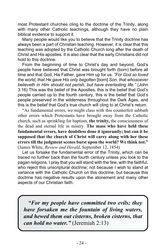most Protestant churches cling to the doctrine of the Trinity, along with many other Catholic teachings, although they have no plain biblical evidence to support it.

Many people would like you to believe that the Trinity doctrine has always been a part of Christian teaching. However, it is clear that this teaching was adopted by the Catholic Church long after the death of Christ and His apostles. It is also clear that the early Christians did not hold to this doctrine.

From the beginning of time to Christ's day and beyond, God's people have believed that Christ was brought forth (born) before all time and that God, His Father, gave Him up for us. *"For God so loved the world, that He gave His only begotten* [born] *Son, that whosoever believeth in Him should not perish, but have everlasting life."* (John 3:16) This was the belief of the Apostles, this is the belief that God's people carried up to the fourth century, this is the belief that God's people preserved in the wilderness throughout the Dark Ages, and this is the belief that God's true church will cling to at Christ's return.

"As fundamental errors, we might class with this counterfeit sabbath other errors which Protestants have brought away from the Catholic church, such as sprinkling for baptism, **the trinity,** the consciousness of the dead and eternal life in misery. **The mass who have held these fundamental errors, have doubtless done it ignorantly; but can it be supposed that the church of Christ will carry along with her these errors till the judgment scenes burst upon the world? We think not."** (James White, *Review and Herald*, September 12, 1854)

Let us forsake the fundamental error of the Trinity, which can be traced no further back than the fourth century unless you look to the pagan religions. I pray that you will stand with the few, with the faithful, who reject this unscriptural doctrine; not because I wish to stand at variance with the Catholic Church on this doctrine, but because this doctrine has negative results upon the atonement and many other aspects of our Christian faith.

*"For my people have committed two evils; they have forsaken me the fountain of living waters, and hewed them out cisterns, broken cisterns, that can hold no water."* (Jeremiah 2:13)